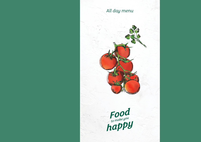# *All day menu*